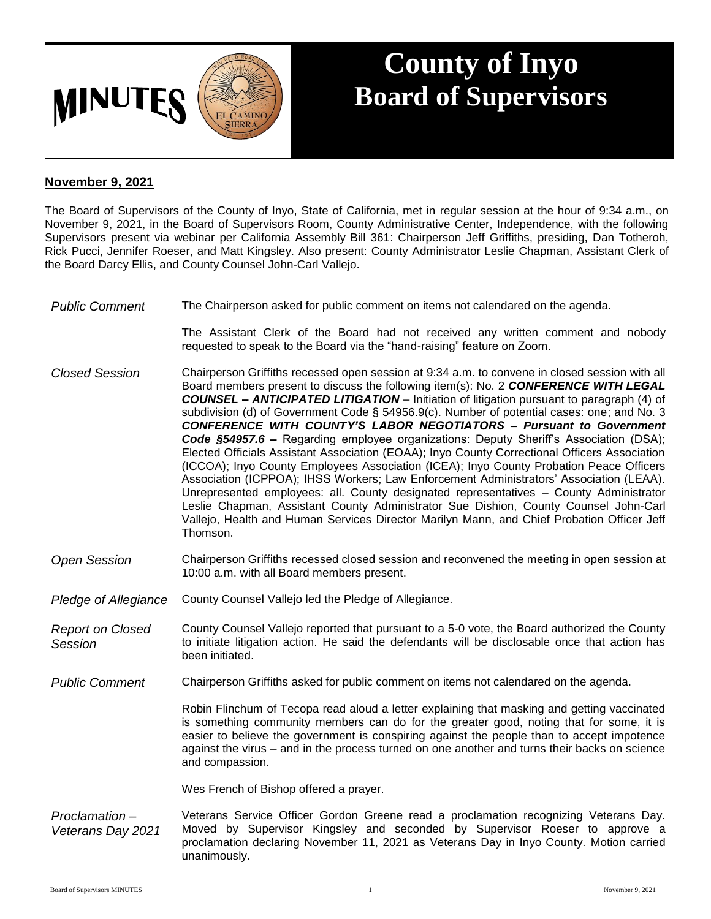

## **County of Inyo Board of Supervisors**

## **November 9, 2021**

The Board of Supervisors of the County of Inyo, State of California, met in regular session at the hour of 9:34 a.m., on November 9, 2021, in the Board of Supervisors Room, County Administrative Center, Independence, with the following Supervisors present via webinar per California Assembly Bill 361: Chairperson Jeff Griffiths, presiding, Dan Totheroh, Rick Pucci, Jennifer Roeser, and Matt Kingsley. Also present: County Administrator Leslie Chapman, Assistant Clerk of the Board Darcy Ellis, and County Counsel John-Carl Vallejo.

*Public Comment* The Chairperson asked for public comment on items not calendared on the agenda.

The Assistant Clerk of the Board had not received any written comment and nobody requested to speak to the Board via the "hand-raising" feature on Zoom.

- *Closed Session* Chairperson Griffiths recessed open session at 9:34 a.m. to convene in closed session with all Board members present to discuss the following item(s): No. 2 *CONFERENCE WITH LEGAL COUNSEL – ANTICIPATED LITIGATION* – Initiation of litigation pursuant to paragraph (4) of subdivision (d) of Government Code § 54956.9(c). Number of potential cases: one; and No. 3 *CONFERENCE WITH COUNTY'S LABOR NEGOTIATORS – Pursuant to Government Code §54957.6 –* Regarding employee organizations: Deputy Sheriff's Association (DSA); Elected Officials Assistant Association (EOAA); Inyo County Correctional Officers Association (ICCOA); Inyo County Employees Association (ICEA); Inyo County Probation Peace Officers Association (ICPPOA); IHSS Workers; Law Enforcement Administrators' Association (LEAA). Unrepresented employees: all. County designated representatives – County Administrator Leslie Chapman, Assistant County Administrator Sue Dishion, County Counsel John-Carl Vallejo, Health and Human Services Director Marilyn Mann, and Chief Probation Officer Jeff Thomson.
- *Open Session* Chairperson Griffiths recessed closed session and reconvened the meeting in open session at 10:00 a.m. with all Board members present.
- *Pledge of Allegiance* County Counsel Vallejo led the Pledge of Allegiance.
- *Report on Closed Session* County Counsel Vallejo reported that pursuant to a 5-0 vote, the Board authorized the County to initiate litigation action. He said the defendants will be disclosable once that action has been initiated.
- *Public Comment* Chairperson Griffiths asked for public comment on items not calendared on the agenda.

Robin Flinchum of Tecopa read aloud a letter explaining that masking and getting vaccinated is something community members can do for the greater good, noting that for some, it is easier to believe the government is conspiring against the people than to accept impotence against the virus – and in the process turned on one another and turns their backs on science and compassion.

Wes French of Bishop offered a prayer.

*Proclamation – Veterans Day 2021* Veterans Service Officer Gordon Greene read a proclamation recognizing Veterans Day. Moved by Supervisor Kingsley and seconded by Supervisor Roeser to approve a proclamation declaring November 11, 2021 as Veterans Day in Inyo County. Motion carried unanimously.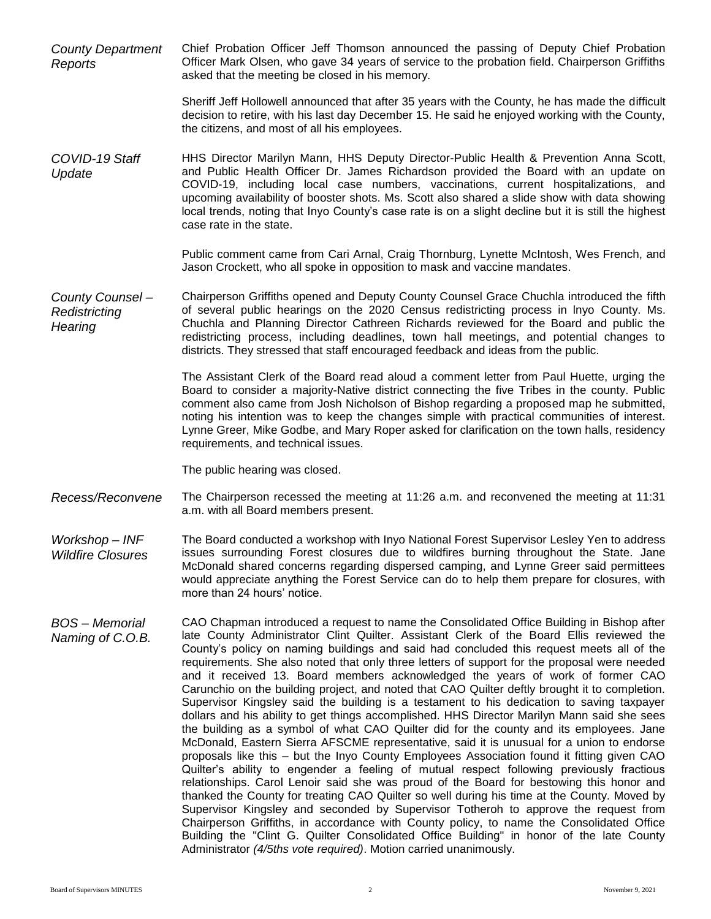*County Department Reports* Chief Probation Officer Jeff Thomson announced the passing of Deputy Chief Probation Officer Mark Olsen, who gave 34 years of service to the probation field. Chairperson Griffiths asked that the meeting be closed in his memory.

> Sheriff Jeff Hollowell announced that after 35 years with the County, he has made the difficult decision to retire, with his last day December 15. He said he enjoyed working with the County, the citizens, and most of all his employees.

*COVID-19 Staff Update* HHS Director Marilyn Mann, HHS Deputy Director-Public Health & Prevention Anna Scott, and Public Health Officer Dr. James Richardson provided the Board with an update on COVID-19, including local case numbers, vaccinations, current hospitalizations, and upcoming availability of booster shots. Ms. Scott also shared a slide show with data showing local trends, noting that Inyo County's case rate is on a slight decline but it is still the highest case rate in the state.

> Public comment came from Cari Arnal, Craig Thornburg, Lynette McIntosh, Wes French, and Jason Crockett, who all spoke in opposition to mask and vaccine mandates.

*County Counsel – Redistricting Hearing* Chairperson Griffiths opened and Deputy County Counsel Grace Chuchla introduced the fifth of several public hearings on the 2020 Census redistricting process in lnyo County. Ms. Chuchla and Planning Director Cathreen Richards reviewed for the Board and public the redistricting process, including deadlines, town hall meetings, and potential changes to districts. They stressed that staff encouraged feedback and ideas from the public.

> The Assistant Clerk of the Board read aloud a comment letter from Paul Huette, urging the Board to consider a majority-Native district connecting the five Tribes in the county. Public comment also came from Josh Nicholson of Bishop regarding a proposed map he submitted, noting his intention was to keep the changes simple with practical communities of interest. Lynne Greer, Mike Godbe, and Mary Roper asked for clarification on the town halls, residency requirements, and technical issues.

The public hearing was closed.

- *Recess/Reconvene* The Chairperson recessed the meeting at 11:26 a.m. and reconvened the meeting at 11:31 a.m. with all Board members present.
- *Workshop – INF Wildfire Closures* The Board conducted a workshop with Inyo National Forest Supervisor Lesley Yen to address issues surrounding Forest closures due to wildfires burning throughout the State. Jane McDonald shared concerns regarding dispersed camping, and Lynne Greer said permittees would appreciate anything the Forest Service can do to help them prepare for closures, with more than 24 hours' notice.
- *BOS – Memorial Naming of C.O.B.* CAO Chapman introduced a request to name the Consolidated Office Building in Bishop after late County Administrator Clint Quilter. Assistant Clerk of the Board Ellis reviewed the County's policy on naming buildings and said had concluded this request meets all of the requirements. She also noted that only three letters of support for the proposal were needed and it received 13. Board members acknowledged the years of work of former CAO Carunchio on the building project, and noted that CAO Quilter deftly brought it to completion. Supervisor Kingsley said the building is a testament to his dedication to saving taxpayer dollars and his ability to get things accomplished. HHS Director Marilyn Mann said she sees the building as a symbol of what CAO Quilter did for the county and its employees. Jane McDonald, Eastern Sierra AFSCME representative, said it is unusual for a union to endorse proposals like this – but the Inyo County Employees Association found it fitting given CAO Quilter's ability to engender a feeling of mutual respect following previously fractious relationships. Carol Lenoir said she was proud of the Board for bestowing this honor and thanked the County for treating CAO Quilter so well during his time at the County. Moved by Supervisor Kingsley and seconded by Supervisor Totheroh to approve the request from Chairperson Griffiths, in accordance with County policy, to name the Consolidated Office Building the "Clint G. Quilter Consolidated Office Building" in honor of the late County Administrator *(4/5ths vote required)*. Motion carried unanimously.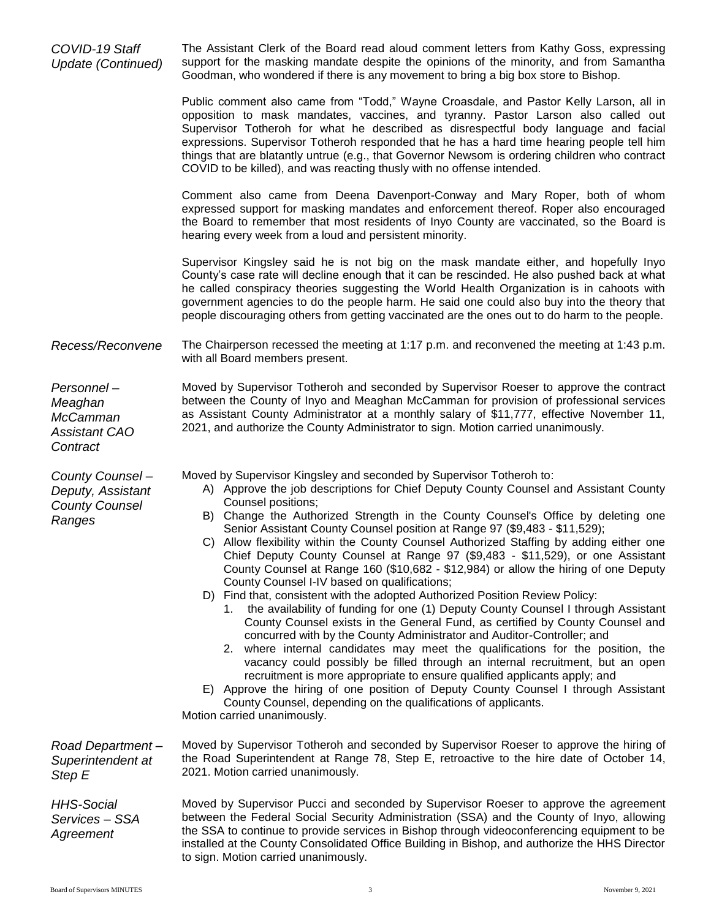*COVID-19 Staff Update (Continued)* The Assistant Clerk of the Board read aloud comment letters from Kathy Goss, expressing support for the masking mandate despite the opinions of the minority, and from Samantha Goodman, who wondered if there is any movement to bring a big box store to Bishop.

> Public comment also came from "Todd," Wayne Croasdale, and Pastor Kelly Larson, all in opposition to mask mandates, vaccines, and tyranny. Pastor Larson also called out Supervisor Totheroh for what he described as disrespectful body language and facial expressions. Supervisor Totheroh responded that he has a hard time hearing people tell him things that are blatantly untrue (e.g., that Governor Newsom is ordering children who contract COVID to be killed), and was reacting thusly with no offense intended.

> Comment also came from Deena Davenport-Conway and Mary Roper, both of whom expressed support for masking mandates and enforcement thereof. Roper also encouraged the Board to remember that most residents of Inyo County are vaccinated, so the Board is hearing every week from a loud and persistent minority.

> Supervisor Kingsley said he is not big on the mask mandate either, and hopefully Inyo County's case rate will decline enough that it can be rescinded. He also pushed back at what he called conspiracy theories suggesting the World Health Organization is in cahoots with government agencies to do the people harm. He said one could also buy into the theory that people discouraging others from getting vaccinated are the ones out to do harm to the people.

*Recess/Reconvene* The Chairperson recessed the meeting at 1:17 p.m. and reconvened the meeting at 1:43 p.m. with all Board members present.

*Personnel – Meaghan McCamman Assistant CAO Contract*

Moved by Supervisor Totheroh and seconded by Supervisor Roeser to approve the contract between the County of Inyo and Meaghan McCamman for provision of professional services as Assistant County Administrator at a monthly salary of \$11,777, effective November 11, 2021, and authorize the County Administrator to sign. Motion carried unanimously.

*County Counsel – Deputy, Assistant County Counsel Ranges*

Moved by Supervisor Kingsley and seconded by Supervisor Totheroh to:

- A) Approve the job descriptions for Chief Deputy County Counsel and Assistant County Counsel positions;
- B) Change the Authorized Strength in the County Counsel's Office by deleting one Senior Assistant County Counsel position at Range 97 (\$9,483 - \$11,529);
- C) Allow flexibility within the County Counsel Authorized Staffing by adding either one Chief Deputy County Counsel at Range 97 (\$9,483 - \$11,529), or one Assistant County Counsel at Range 160 (\$10,682 - \$12,984) or allow the hiring of one Deputy County Counsel I-IV based on qualifications;
- D) Find that, consistent with the adopted Authorized Position Review Policy:
	- 1. the availability of funding for one (1) Deputy County Counsel I through Assistant County Counsel exists in the General Fund, as certified by County Counsel and concurred with by the County Administrator and Auditor-Controller; and
	- 2. where internal candidates may meet the qualifications for the position, the vacancy could possibly be filled through an internal recruitment, but an open recruitment is more appropriate to ensure qualified applicants apply; and
- E) Approve the hiring of one position of Deputy County Counsel I through Assistant County Counsel, depending on the qualifications of applicants.

Motion carried unanimously.

*Road Department – Superintendent at Step E*

*HHS-Social Services – SSA Agreement*

Moved by Supervisor Totheroh and seconded by Supervisor Roeser to approve the hiring of the Road Superintendent at Range 78, Step E, retroactive to the hire date of October 14, 2021. Motion carried unanimously.

Moved by Supervisor Pucci and seconded by Supervisor Roeser to approve the agreement between the Federal Social Security Administration (SSA) and the County of Inyo, allowing the SSA to continue to provide services in Bishop through videoconferencing equipment to be installed at the County Consolidated Office Building in Bishop, and authorize the HHS Director to sign. Motion carried unanimously.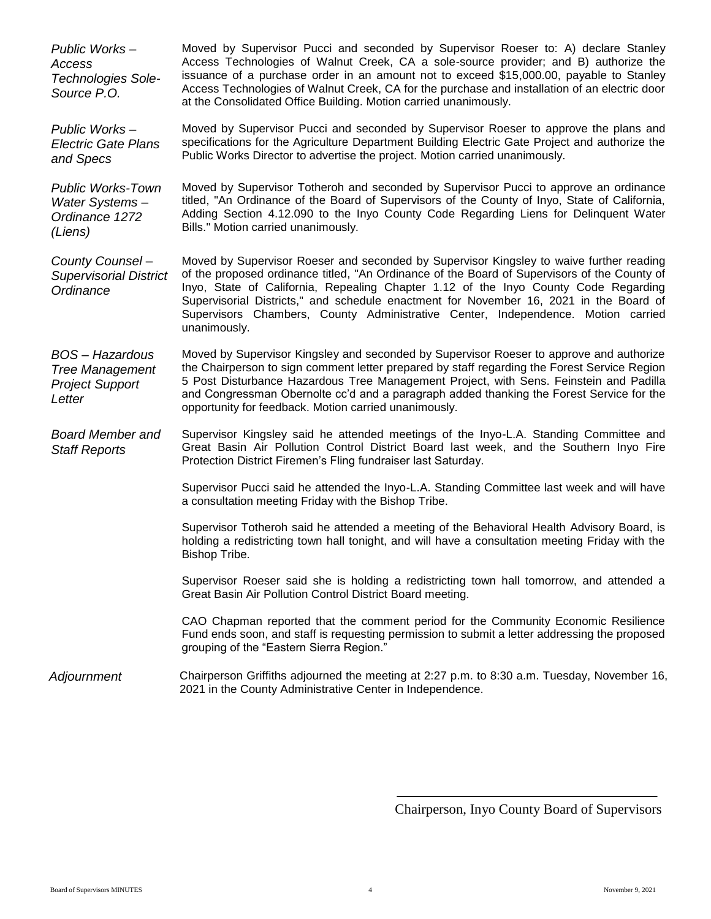*Public Works – Access Technologies Sole-Source P.O.* Moved by Supervisor Pucci and seconded by Supervisor Roeser to: A) declare Stanley Access Technologies of Walnut Creek, CA a sole-source provider; and B) authorize the issuance of a purchase order in an amount not to exceed \$15,000.00, payable to Stanley Access Technologies of Walnut Creek, CA for the purchase and installation of an electric door at the Consolidated Office Building. Motion carried unanimously. *Public Works – Electric Gate Plans and Specs* Moved by Supervisor Pucci and seconded by Supervisor Roeser to approve the plans and specifications for the Agriculture Department Building Electric Gate Project and authorize the Public Works Director to advertise the project. Motion carried unanimously. *Public Works-Town Water Systems – Ordinance 1272 (Liens)* Moved by Supervisor Totheroh and seconded by Supervisor Pucci to approve an ordinance titled, "An Ordinance of the Board of Supervisors of the County of Inyo, State of California, Adding Section 4.12.090 to the Inyo County Code Regarding Liens for Delinquent Water Bills." Motion carried unanimously. *County Counsel – Supervisorial District Ordinance* Moved by Supervisor Roeser and seconded by Supervisor Kingsley to waive further reading of the proposed ordinance titled, "An Ordinance of the Board of Supervisors of the County of Inyo, State of California, Repealing Chapter 1.12 of the Inyo County Code Regarding Supervisorial Districts," and schedule enactment for November 16, 2021 in the Board of Supervisors Chambers, County Administrative Center, Independence. Motion carried unanimously. *BOS – Hazardous Tree Management Project Support Letter* Moved by Supervisor Kingsley and seconded by Supervisor Roeser to approve and authorize the Chairperson to sign comment letter prepared by staff regarding the Forest Service Region 5 Post Disturbance Hazardous Tree Management Project, with Sens. Feinstein and Padilla and Congressman Obernolte cc'd and a paragraph added thanking the Forest Service for the opportunity for feedback. Motion carried unanimously. *Board Member and Staff Reports* Supervisor Kingsley said he attended meetings of the Inyo-L.A. Standing Committee and Great Basin Air Pollution Control District Board last week, and the Southern Inyo Fire Protection District Firemen's Fling fundraiser last Saturday. Supervisor Pucci said he attended the Inyo-L.A. Standing Committee last week and will have a consultation meeting Friday with the Bishop Tribe. Supervisor Totheroh said he attended a meeting of the Behavioral Health Advisory Board, is holding a redistricting town hall tonight, and will have a consultation meeting Friday with the Bishop Tribe. Supervisor Roeser said she is holding a redistricting town hall tomorrow, and attended a Great Basin Air Pollution Control District Board meeting. CAO Chapman reported that the comment period for the Community Economic Resilience Fund ends soon, and staff is requesting permission to submit a letter addressing the proposed grouping of the "Eastern Sierra Region." *Adjournment* Chairperson Griffiths adjourned the meeting at 2:27 p.m. to 8:30 a.m. Tuesday, November 16, 2021 in the County Administrative Center in Independence.

Chairperson, Inyo County Board of Supervisors